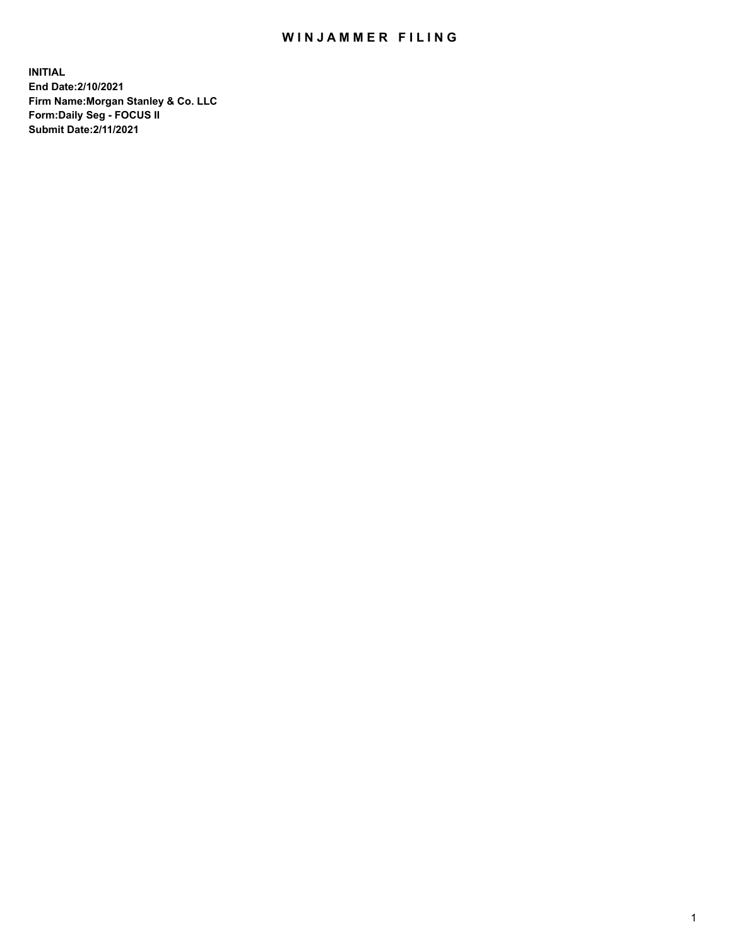## WIN JAMMER FILING

**INITIAL End Date:2/10/2021 Firm Name:Morgan Stanley & Co. LLC Form:Daily Seg - FOCUS II Submit Date:2/11/2021**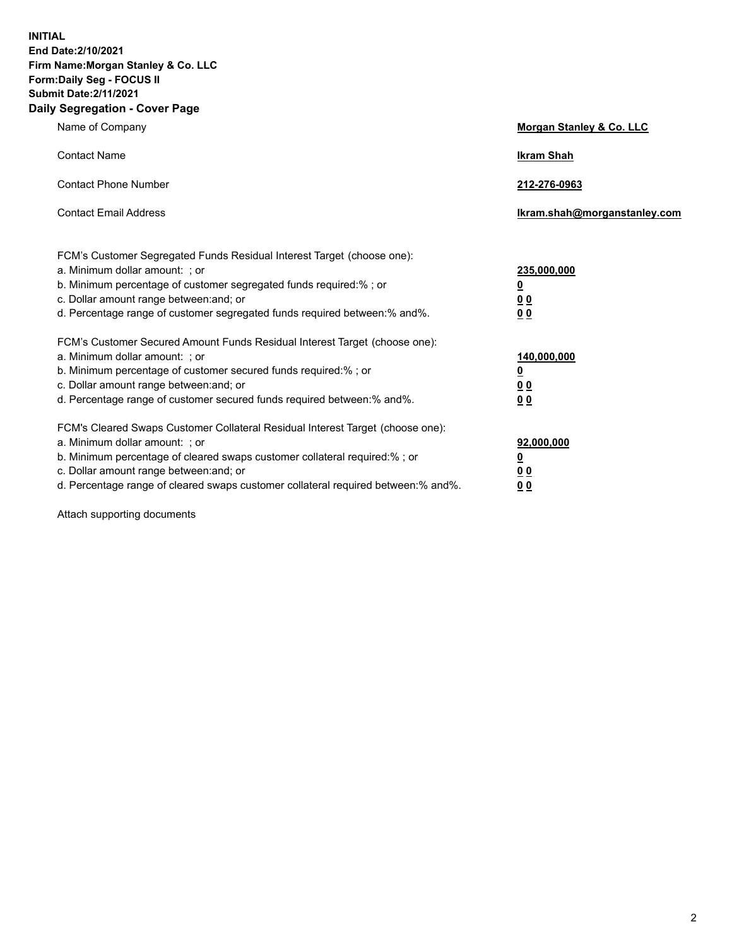**INITIAL End Date:2/10/2021 Firm Name:Morgan Stanley & Co. LLC Form:Daily Seg - FOCUS II Submit Date:2/11/2021 Daily Segregation - Cover Page**

| Name of Company                                                                                                                                                                                                                                                                                                                | Morgan Stanley & Co. LLC                               |
|--------------------------------------------------------------------------------------------------------------------------------------------------------------------------------------------------------------------------------------------------------------------------------------------------------------------------------|--------------------------------------------------------|
| <b>Contact Name</b>                                                                                                                                                                                                                                                                                                            | <b>Ikram Shah</b>                                      |
| <b>Contact Phone Number</b>                                                                                                                                                                                                                                                                                                    | 212-276-0963                                           |
| <b>Contact Email Address</b>                                                                                                                                                                                                                                                                                                   | Ikram.shah@morganstanley.com                           |
| FCM's Customer Segregated Funds Residual Interest Target (choose one):<br>a. Minimum dollar amount: ; or<br>b. Minimum percentage of customer segregated funds required:% ; or<br>c. Dollar amount range between: and; or<br>d. Percentage range of customer segregated funds required between: % and %.                       | 235,000,000<br><u>0</u><br>00<br>0 <sub>0</sub>        |
| FCM's Customer Secured Amount Funds Residual Interest Target (choose one):<br>a. Minimum dollar amount: ; or<br>b. Minimum percentage of customer secured funds required:% ; or<br>c. Dollar amount range between: and; or<br>d. Percentage range of customer secured funds required between:% and%.                           | 140,000,000<br><u>0</u><br><u>00</u><br>0 <sub>0</sub> |
| FCM's Cleared Swaps Customer Collateral Residual Interest Target (choose one):<br>a. Minimum dollar amount: ; or<br>b. Minimum percentage of cleared swaps customer collateral required:% ; or<br>c. Dollar amount range between: and; or<br>d. Percentage range of cleared swaps customer collateral required between:% and%. | 92,000,000<br><u>0</u><br><u>00</u><br>00              |

Attach supporting documents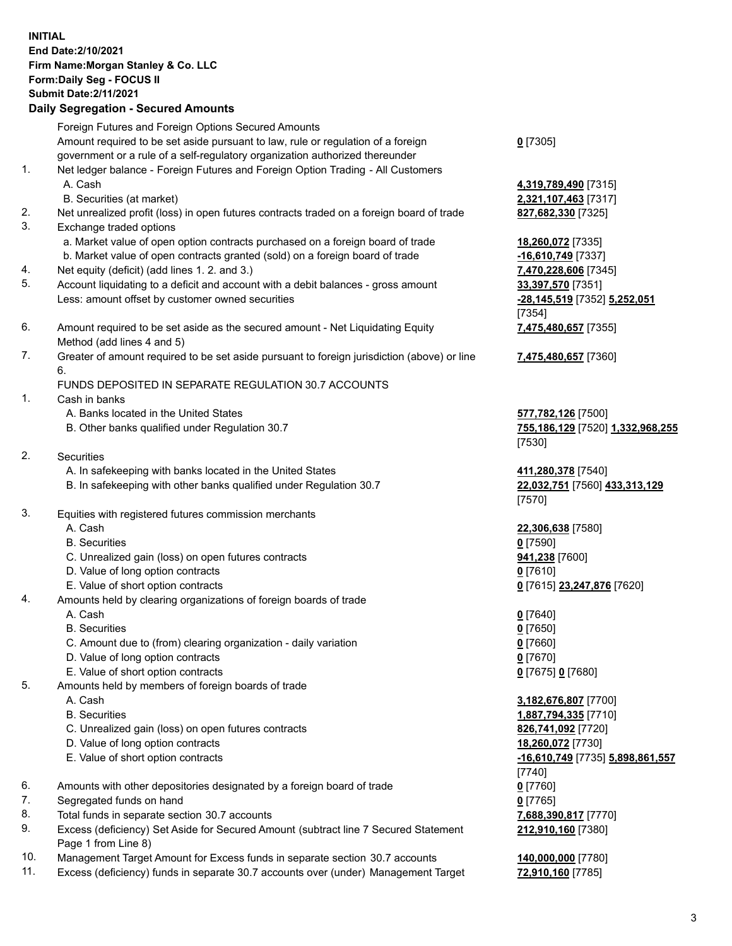## **INITIAL End Date:2/10/2021 Firm Name:Morgan Stanley & Co. LLC Form:Daily Seg - FOCUS II Submit Date:2/11/2021**

**Daily Segregation - Secured Amounts** Foreign Futures and Foreign Options Secured Amounts Amount required to be set aside pursuant to law, rule or regulation of a foreign government or a rule of a self-regulatory organization authorized thereunder 1. Net ledger balance - Foreign Futures and Foreign Option Trading - All Customers A. Cash **4,319,789,490** [7315] B. Securities (at market) **2,321,107,463** [7317] 2. Net unrealized profit (loss) in open futures contracts traded on a foreign board of trade **827,682,330** [7325] 3. Exchange traded options a. Market value of open option contracts purchased on a foreign board of trade **18,260,072** [7335] b. Market value of open contracts granted (sold) on a foreign board of trade **-16,610,749** [7337] 4. Net equity (deficit) (add lines 1. 2. and 3.) **7,470,228,606** [7345] 5. Account liquidating to a deficit and account with a debit balances - gross amount **33,397,570** [7351] Less: amount offset by customer owned securities **-28,145,519** [7352] **5,252,051** 6. Amount required to be set aside as the secured amount - Net Liquidating Equity Method (add lines 4 and 5) 7. Greater of amount required to be set aside pursuant to foreign jurisdiction (above) or line 6. FUNDS DEPOSITED IN SEPARATE REGULATION 30.7 ACCOUNTS 1. Cash in banks A. Banks located in the United States **577,782,126** [7500] B. Other banks qualified under Regulation 30.7 **755,186,129** [7520] **1,332,968,255** 2. Securities A. In safekeeping with banks located in the United States **411,280,378** [7540] B. In safekeeping with other banks qualified under Regulation 30.7 **22,032,751** [7560] **433,313,129** 3. Equities with registered futures commission merchants A. Cash **22,306,638** [7580] B. Securities **0** [7590] C. Unrealized gain (loss) on open futures contracts **941,238** [7600] D. Value of long option contracts **0** [7610] E. Value of short option contracts **0** [7615] **23,247,876** [7620] 4. Amounts held by clearing organizations of foreign boards of trade A. Cash **0** [7640] B. Securities **0** [7650]

- C. Amount due to (from) clearing organization daily variation **0** [7660]
- D. Value of long option contracts **0** [7670]
- E. Value of short option contracts **0** [7675] **0** [7680]
- 5. Amounts held by members of foreign boards of trade
	-
	-
	- C. Unrealized gain (loss) on open futures contracts **826,741,092** [7720]
	- D. Value of long option contracts **18,260,072** [7730]
	- E. Value of short option contracts **-16,610,749** [7735] **5,898,861,557**
- 6. Amounts with other depositories designated by a foreign board of trade **0** [7760]
- 7. Segregated funds on hand **0** [7765]
- 8. Total funds in separate section 30.7 accounts **7,688,390,817** [7770]
- 9. Excess (deficiency) Set Aside for Secured Amount (subtract line 7 Secured Statement Page 1 from Line 8)
- 10. Management Target Amount for Excess funds in separate section 30.7 accounts **140,000,000** [7780]
- 11. Excess (deficiency) funds in separate 30.7 accounts over (under) Management Target **72,910,160** [7785]

**0** [7305]

[7354] **7,475,480,657** [7355]

**7,475,480,657** [7360]

[7530]

[7570]

 A. Cash **3,182,676,807** [7700] B. Securities **1,887,794,335** [7710] [7740] **212,910,160** [7380]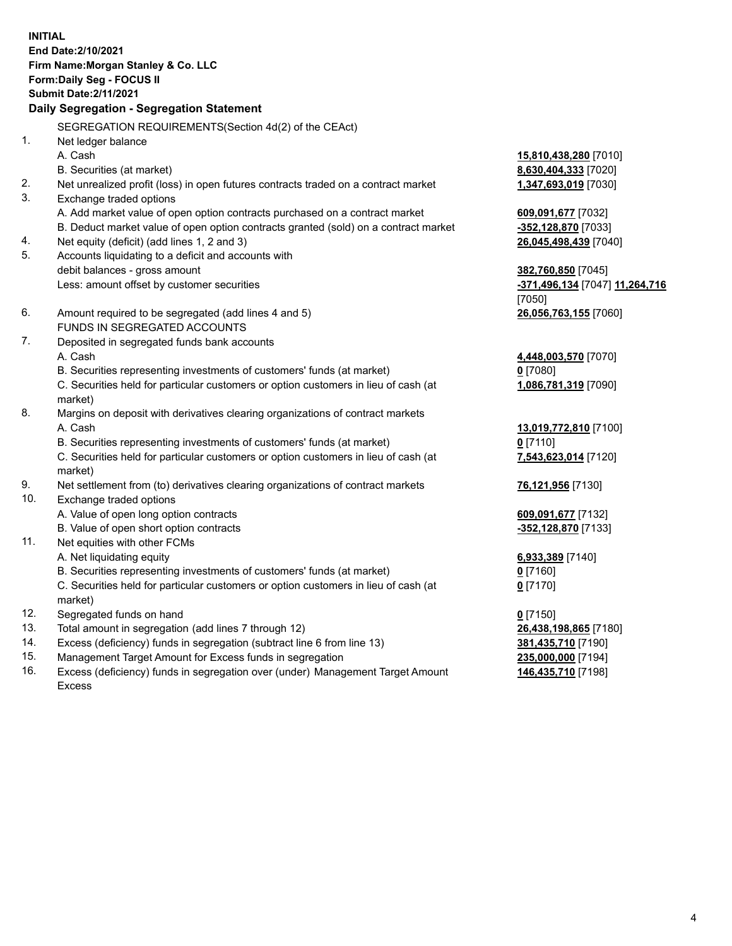**INITIAL End Date:2/10/2021 Firm Name:Morgan Stanley & Co. LLC Form:Daily Seg - FOCUS II Submit Date:2/11/2021 Daily Segregation - Segregation Statement** SEGREGATION REQUIREMENTS(Section 4d(2) of the CEAct) 1. Net ledger balance A. Cash **15,810,438,280** [7010] B. Securities (at market) **8,630,404,333** [7020] 2. Net unrealized profit (loss) in open futures contracts traded on a contract market **1,347,693,019** [7030] 3. Exchange traded options A. Add market value of open option contracts purchased on a contract market **609,091,677** [7032] B. Deduct market value of open option contracts granted (sold) on a contract market **-352,128,870** [7033] 4. Net equity (deficit) (add lines 1, 2 and 3) **26,045,498,439** [7040] 5. Accounts liquidating to a deficit and accounts with debit balances - gross amount **382,760,850** [7045] Less: amount offset by customer securities **-371,496,134** [7047] **11,264,716** [7050] 6. Amount required to be segregated (add lines 4 and 5) **26,056,763,155** [7060] FUNDS IN SEGREGATED ACCOUNTS 7. Deposited in segregated funds bank accounts A. Cash **4,448,003,570** [7070] B. Securities representing investments of customers' funds (at market) **0** [7080] C. Securities held for particular customers or option customers in lieu of cash (at market) **1,086,781,319** [7090] 8. Margins on deposit with derivatives clearing organizations of contract markets A. Cash **13,019,772,810** [7100] B. Securities representing investments of customers' funds (at market) **0** [7110] C. Securities held for particular customers or option customers in lieu of cash (at market) **7,543,623,014** [7120] 9. Net settlement from (to) derivatives clearing organizations of contract markets **76,121,956** [7130] 10. Exchange traded options A. Value of open long option contracts **609,091,677** [7132] B. Value of open short option contracts **-352,128,870** [7133] 11. Net equities with other FCMs A. Net liquidating equity **6,933,389** [7140] B. Securities representing investments of customers' funds (at market) **0** [7160] C. Securities held for particular customers or option customers in lieu of cash (at market) **0** [7170] 12. Segregated funds on hand **0** [7150] 13. Total amount in segregation (add lines 7 through 12) **26,438,198,865** [7180] 14. Excess (deficiency) funds in segregation (subtract line 6 from line 13) **381,435,710** [7190] 15. Management Target Amount for Excess funds in segregation **235,000,000** [7194]

16. Excess (deficiency) funds in segregation over (under) Management Target Amount Excess

**146,435,710** [7198]